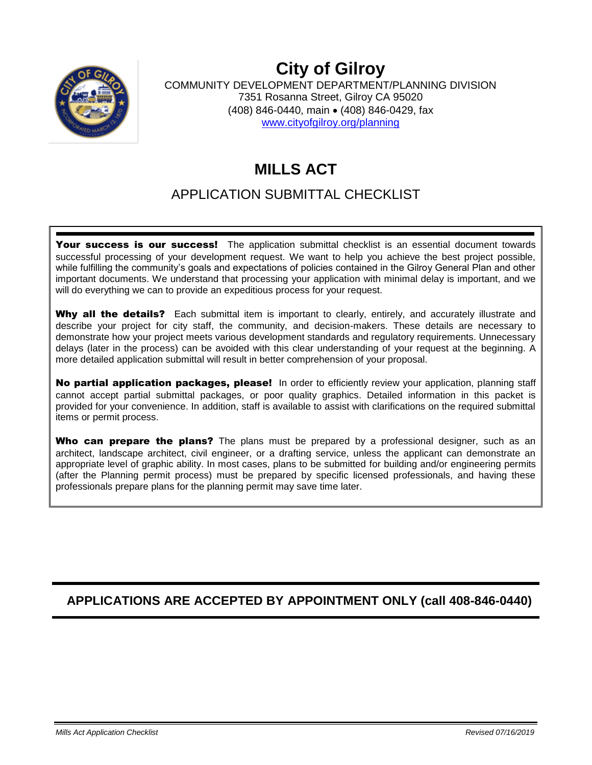

# **City of Gilroy**

COMMUNITY DEVELOPMENT DEPARTMENT/PLANNING DIVISION 7351 Rosanna Street, Gilroy CA 95020 (408) 846-0440, main • (408) 846-0429, fax [www.cityofgilroy.org/](http://www.cityofgilroy.org/)planning

## **MILLS ACT**

### APPLICATION SUBMITTAL CHECKLIST

Your success is our success! The application submittal checklist is an essential document towards successful processing of your development request. We want to help you achieve the best project possible, while fulfilling the community's goals and expectations of policies contained in the Gilroy General Plan and other important documents. We understand that processing your application with minimal delay is important, and we will do everything we can to provide an expeditious process for your request.

Why all the details? Each submittal item is important to clearly, entirely, and accurately illustrate and describe your project for city staff, the community, and decision-makers. These details are necessary to demonstrate how your project meets various development standards and regulatory requirements. Unnecessary delays (later in the process) can be avoided with this clear understanding of your request at the beginning. A more detailed application submittal will result in better comprehension of your proposal.

No partial application packages, please!In order to efficiently review your application, planning staff cannot accept partial submittal packages, or poor quality graphics. Detailed information in this packet is provided for your convenience. In addition, staff is available to assist with clarifications on the required submittal items or permit process.

Who can prepare the plans? The plans must be prepared by a professional designer, such as an architect, landscape architect, civil engineer, or a drafting service, unless the applicant can demonstrate an appropriate level of graphic ability. In most cases, plans to be submitted for building and/or engineering permits (after the Planning permit process) must be prepared by specific licensed professionals, and having these professionals prepare plans for the planning permit may save time later.

### **APPLICATIONS ARE ACCEPTED BY APPOINTMENT ONLY (call 408-846-0440)**